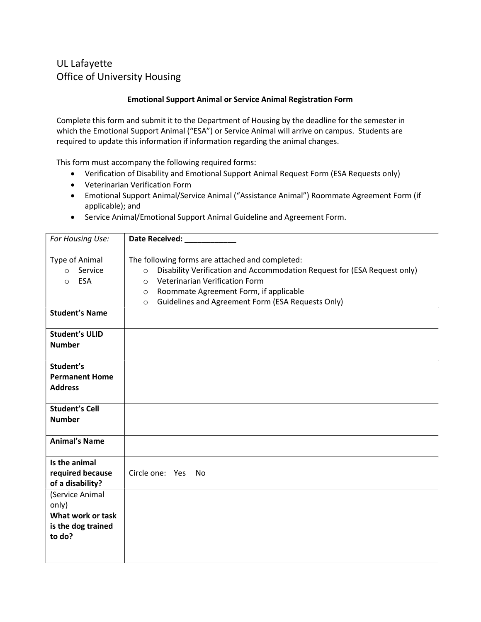## UL Lafayette Office of University Housing

## Emotional Support Animal or Service Animal Registration Form

Complete this form and submit it to the Department of Housing by the deadline for the semester in which the Emotional Support Animal ("ESA") or Service Animal will arrive on campus. Students are required to update this information if information regarding the animal changes.

This form must accompany the following required forms:

- Verification of Disability and Emotional Support Animal Request Form (ESA Requests only)
- Veterinarian Verification Form
- Emotional Support Animal/Service Animal ("Assistance Animal") Roommate Agreement Form (if applicable); and
- Service Animal/Emotional Support Animal Guideline and Agreement Form.

| For Housing Use:                                                              | Date Received: National Property of the Second Second Second Second Second Second Second Second Second Second Second Second Second Second Second Second Second Second Second Second Second Second Second Second Second Second                                                                            |  |
|-------------------------------------------------------------------------------|----------------------------------------------------------------------------------------------------------------------------------------------------------------------------------------------------------------------------------------------------------------------------------------------------------|--|
| Type of Animal<br>Service<br>$\circ$<br><b>ESA</b><br>$\circ$                 | The following forms are attached and completed:<br>Disability Verification and Accommodation Request for (ESA Request only)<br>$\circ$<br>Veterinarian Verification Form<br>$\circ$<br>Roommate Agreement Form, if applicable<br>$\circ$<br>Guidelines and Agreement Form (ESA Requests Only)<br>$\circ$ |  |
| <b>Student's Name</b>                                                         |                                                                                                                                                                                                                                                                                                          |  |
| <b>Student's ULID</b><br><b>Number</b>                                        |                                                                                                                                                                                                                                                                                                          |  |
| Student's<br><b>Permanent Home</b><br><b>Address</b>                          |                                                                                                                                                                                                                                                                                                          |  |
| <b>Student's Cell</b><br><b>Number</b>                                        |                                                                                                                                                                                                                                                                                                          |  |
| <b>Animal's Name</b>                                                          |                                                                                                                                                                                                                                                                                                          |  |
| Is the animal<br>required because<br>of a disability?                         | Circle one: Yes<br>- No                                                                                                                                                                                                                                                                                  |  |
| (Service Animal<br>only)<br>What work or task<br>is the dog trained<br>to do? |                                                                                                                                                                                                                                                                                                          |  |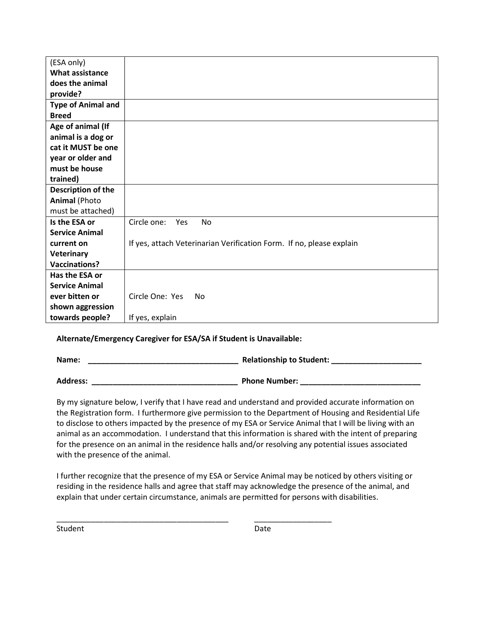| (ESA only)                |                                                                      |
|---------------------------|----------------------------------------------------------------------|
| <b>What assistance</b>    |                                                                      |
| does the animal           |                                                                      |
| provide?                  |                                                                      |
| <b>Type of Animal and</b> |                                                                      |
| <b>Breed</b>              |                                                                      |
| Age of animal (If         |                                                                      |
| animal is a dog or        |                                                                      |
| cat it MUST be one        |                                                                      |
| year or older and         |                                                                      |
| must be house             |                                                                      |
| trained)                  |                                                                      |
| Description of the        |                                                                      |
| <b>Animal (Photo</b>      |                                                                      |
| must be attached)         |                                                                      |
| Is the ESA or             | Circle one:<br><b>No</b><br>Yes                                      |
| <b>Service Animal</b>     |                                                                      |
| current on                | If yes, attach Veterinarian Verification Form. If no, please explain |
| Veterinary                |                                                                      |
| <b>Vaccinations?</b>      |                                                                      |
| Has the ESA or            |                                                                      |
| <b>Service Animal</b>     |                                                                      |
| ever bitten or            | Circle One: Yes<br>No                                                |
| shown aggression          |                                                                      |
| towards people?           | If yes, explain                                                      |

## Alternate/Emergency Caregiver for ESA/SA if Student is Unavailable:

Name: \_\_\_\_\_\_\_\_\_\_\_\_\_\_\_\_\_\_\_\_\_\_\_\_\_\_\_\_\_\_\_\_\_\_\_ Relationship to Student: \_\_\_\_\_\_\_\_\_\_\_\_\_\_\_\_\_\_\_\_\_

Address: \_\_\_\_\_\_\_\_\_\_\_\_\_\_\_\_\_\_\_\_\_\_\_\_\_\_\_\_\_\_\_\_\_\_ Phone Number: \_\_\_\_\_\_\_\_\_\_\_\_\_\_\_\_\_\_\_\_\_\_\_\_\_\_\_\_

By my signature below, I verify that I have read and understand and provided accurate information on the Registration form. I furthermore give permission to the Department of Housing and Residential Life to disclose to others impacted by the presence of my ESA or Service Animal that I will be living with an animal as an accommodation. I understand that this information is shared with the intent of preparing for the presence on an animal in the residence halls and/or resolving any potential issues associated with the presence of the animal.

I further recognize that the presence of my ESA or Service Animal may be noticed by others visiting or residing in the residence halls and agree that staff may acknowledge the presence of the animal, and explain that under certain circumstance, animals are permitted for persons with disabilities.

\_\_\_\_\_\_\_\_\_\_\_\_\_\_\_\_\_\_\_\_\_\_\_\_\_\_\_\_\_\_\_\_\_\_\_\_\_\_\_\_ \_\_\_\_\_\_\_\_\_\_\_\_\_\_\_\_\_\_

Student Date